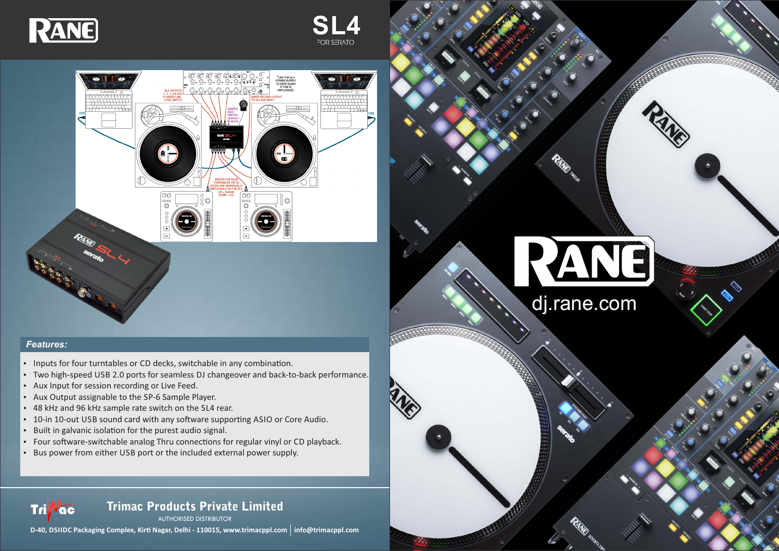# dj.rane.com

RAND

AUTHORISED DISTRIBUTOR

**D-40, DSIIDC Packaging Complex, Kirti Nagar, Delhi - 110015, www.trimacppl.com | info@trimacppl.com** 

# Trimac Products Private Limited



FOR SERATO **SL4**



## *Features:*

**Tri Vac** 

- Inputs for four turntables or CD decks, switchable in any combination.
- Two high-speed USB 2.0 ports for seamless DJ changeover and back-to-back performance.
- Aux Input for session recording or Live Feed.
- Aux Output assignable to the SP-6 Sample Player.
- 48 kHz and 96 kHz sample rate switch on the SL4 rear.
- 10-in 10-out USB sound card with any software supporting ASIO or Core Audio.
- Built in galvanic isolation for the purest audio signal.
- Four software-switchable analog Thru connections for regular vinyl or CD playback.
- Bus power from either USB port or the included external power supply.